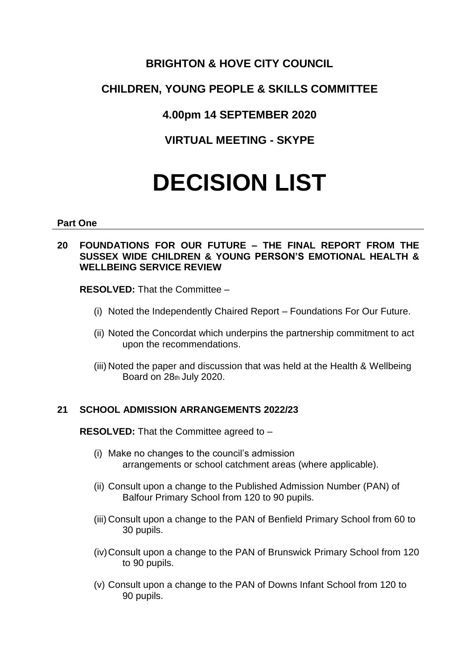# **BRIGHTON & HOVE CITY COUNCIL**

# **CHILDREN, YOUNG PEOPLE & SKILLS COMMITTEE**

**4.00pm 14 SEPTEMBER 2020**

**VIRTUAL MEETING - SKYPE**

# **DECISION LIST**

#### **Part One**

## **20 FOUNDATIONS FOR OUR FUTURE – THE FINAL REPORT FROM THE SUSSEX WIDE CHILDREN & YOUNG PERSON'S EMOTIONAL HEALTH & WELLBEING SERVICE REVIEW**

**RESOLVED:** That the Committee –

- (i) Noted the Independently Chaired Report Foundations For Our Future.
- (ii) Noted the Concordat which underpins the partnership commitment to act upon the recommendations.
- (iii) Noted the paper and discussion that was held at the Health & Wellbeing Board on 28th July 2020.

# **21 SCHOOL ADMISSION ARRANGEMENTS 2022/23**

**RESOLVED:** That the Committee agreed to –

- (i) Make no changes to the council's admission arrangements or school catchment areas (where applicable).
- (ii) Consult upon a change to the Published Admission Number (PAN) of Balfour Primary School from 120 to 90 pupils.
- (iii) Consult upon a change to the PAN of Benfield Primary School from 60 to 30 pupils.
- (iv)Consult upon a change to the PAN of Brunswick Primary School from 120 to 90 pupils.
- (v) Consult upon a change to the PAN of Downs Infant School from 120 to 90 pupils.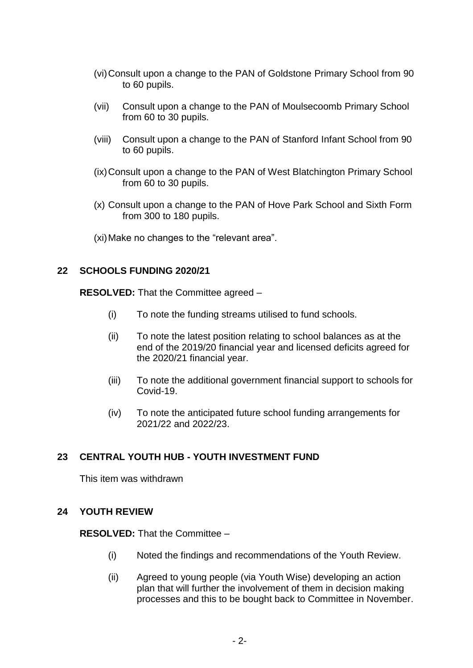- (vi)Consult upon a change to the PAN of Goldstone Primary School from 90 to 60 pupils.
- (vii) Consult upon a change to the PAN of Moulsecoomb Primary School from 60 to 30 pupils.
- (viii) Consult upon a change to the PAN of Stanford Infant School from 90 to 60 pupils.
- (ix)Consult upon a change to the PAN of West Blatchington Primary School from 60 to 30 pupils.
- (x) Consult upon a change to the PAN of Hove Park School and Sixth Form from 300 to 180 pupils.
- (xi)Make no changes to the "relevant area".

#### **22 SCHOOLS FUNDING 2020/21**

**RESOLVED:** That the Committee agreed –

- (i) To note the funding streams utilised to fund schools.
- (ii) To note the latest position relating to school balances as at the end of the 2019/20 financial year and licensed deficits agreed for the 2020/21 financial year.
- (iii) To note the additional government financial support to schools for Covid-19.
- (iv) To note the anticipated future school funding arrangements for 2021/22 and 2022/23.

## **23 CENTRAL YOUTH HUB - YOUTH INVESTMENT FUND**

This item was withdrawn

## **24 YOUTH REVIEW**

**RESOLVED:** That the Committee –

- (i) Noted the findings and recommendations of the Youth Review.
- (ii) Agreed to young people (via Youth Wise) developing an action plan that will further the involvement of them in decision making processes and this to be bought back to Committee in November.